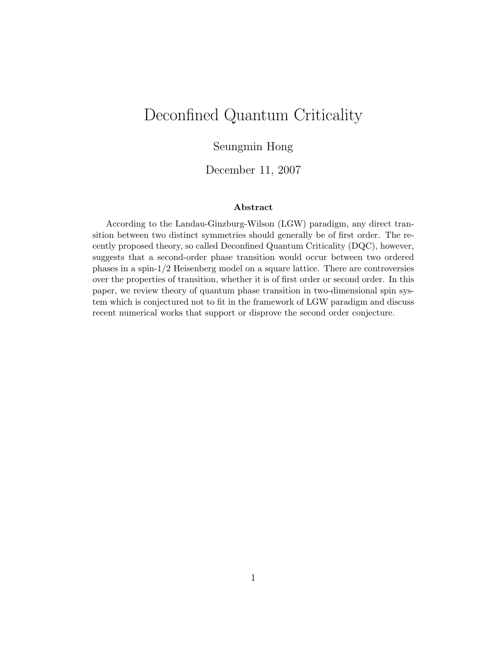# Deconfined Quantum Criticality

### Seungmin Hong

### December 11, 2007

#### Abstract

According to the Landau-Ginzburg-Wilson (LGW) paradigm, any direct transition between two distinct symmetries should generally be of first order. The recently proposed theory, so called Deconfined Quantum Criticality (DQC), however, suggests that a second-order phase transition would occur between two ordered phases in a spin-1/2 Heisenberg model on a square lattice. There are controversies over the properties of transition, whether it is of first order or second order. In this paper, we review theory of quantum phase transition in two-dimensional spin system which is conjectured not to fit in the framework of LGW paradigm and discuss recent numerical works that support or disprove the second order conjecture.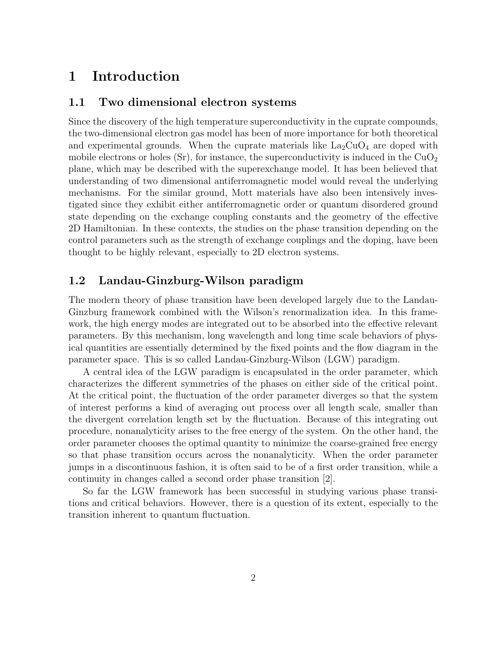# 1 Introduction

#### 1.1 Two dimensional electron systems

Since the discovery of the high temperature superconductivity in the cuprate compounds, the two-dimensional electron gas model has been of more importance for both theoretical and experimental grounds. When the cuprate materials like  $\text{La}_2\text{CuO}_4$  are doped with mobile electrons or holes  $(Sr)$ , for instance, the superconductivity is induced in the  $CuO<sub>2</sub>$ plane, which may be described with the superexchange model. It has been believed that understanding of two dimensional antiferromagnetic model would reveal the underlying mechanisms. For the similar ground, Mott materials have also been intensively investigated since they exhibit either antiferromagnetic order or quantum disordered ground state depending on the exchange coupling constants and the geometry of the effective 2D Hamiltonian. In these contexts, the studies on the phase transition depending on the control parameters such as the strength of exchange couplings and the doping, have been thought to be highly relevant, especially to 2D electron systems.

### 1.2 Landau-Ginzburg-Wilson paradigm

The modern theory of phase transition have been developed largely due to the Landau-Ginzburg framework combined with the Wilson's renormalization idea. In this framework, the high energy modes are integrated out to be absorbed into the effective relevant parameters. By this mechanism, long wavelength and long time scale behaviors of physical quantities are essentially determined by the fixed points and the flow diagram in the parameter space. This is so called Landau-Ginzburg-Wilson (LGW) paradigm.

A central idea of the LGW paradigm is encapsulated in the order parameter, which characterizes the different symmetries of the phases on either side of the critical point. At the critical point, the fluctuation of the order parameter diverges so that the system of interest performs a kind of averaging out process over all length scale, smaller than the divergent correlation length set by the fluctuation. Because of this integrating out procedure, nonanalyticity arises to the free energy of the system. On the other hand, the order parameter chooses the optimal quantity to minimize the coarse-grained free energy so that phase transition occurs across the nonanalyticity. When the order parameter jumps in a discontinuous fashion, it is often said to be of a first order transition, while a continuity in changes called a second order phase transition [2].

So far the LGW framework has been successful in studying various phase transitions and critical behaviors. However, there is a question of its extent, especially to the transition inherent to quantum fluctuation.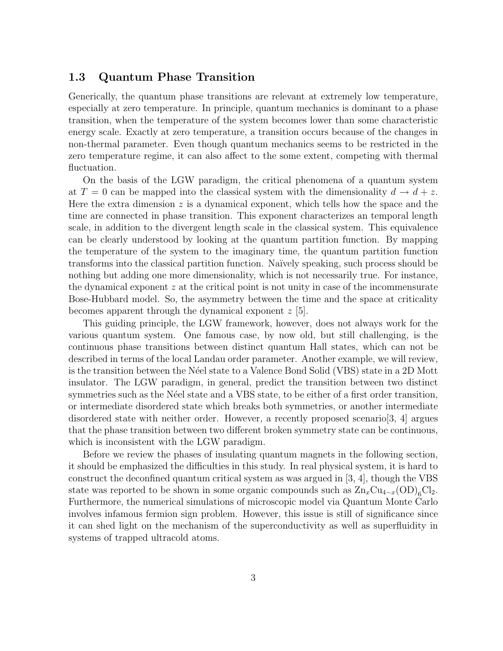#### 1.3 Quantum Phase Transition

Generically, the quantum phase transitions are relevant at extremely low temperature, especially at zero temperature. In principle, quantum mechanics is dominant to a phase transition, when the temperature of the system becomes lower than some characteristic energy scale. Exactly at zero temperature, a transition occurs because of the changes in non-thermal parameter. Even though quantum mechanics seems to be restricted in the zero temperature regime, it can also affect to the some extent, competing with thermal fluctuation.

On the basis of the LGW paradigm, the critical phenomena of a quantum system at  $T = 0$  can be mapped into the classical system with the dimensionality  $d \to d + z$ . Here the extra dimension  $z$  is a dynamical exponent, which tells how the space and the time are connected in phase transition. This exponent characterizes an temporal length scale, in addition to the divergent length scale in the classical system. This equivalence can be clearly understood by looking at the quantum partition function. By mapping the temperature of the system to the imaginary time, the quantum partition function transforms into the classical partition function. Na¨ıvely speaking, such process should be nothing but adding one more dimensionality, which is not necessarily true. For instance, the dynamical exponent  $z$  at the critical point is not unity in case of the incommensurate Bose-Hubbard model. So, the asymmetry between the time and the space at criticality becomes apparent through the dynamical exponent  $z$  [5].

This guiding principle, the LGW framework, however, does not always work for the various quantum system. One famous case, by now old, but still challenging, is the continuous phase transitions between distinct quantum Hall states, which can not be described in terms of the local Landau order parameter. Another example, we will review, is the transition between the N´eel state to a Valence Bond Solid (VBS) state in a 2D Mott insulator. The LGW paradigm, in general, predict the transition between two distinct symmetries such as the Néel state and a VBS state, to be either of a first order transition, or intermediate disordered state which breaks both symmetries, or another intermediate disordered state with neither order. However, a recently proposed scenario [3, 4] argues that the phase transition between two different broken symmetry state can be continuous, which is inconsistent with the LGW paradigm.

Before we review the phases of insulating quantum magnets in the following section, it should be emphasized the difficulties in this study. In real physical system, it is hard to construct the deconfined quantum critical system as was argued in [3, 4], though the VBS state was reported to be shown in some organic compounds such as  $\text{Zn}_x\text{Cu}_{4-x}(\text{OD})_6\text{Cl}_2$ . Furthermore, the numerical simulations of microscopic model via Quantum Monte Carlo involves infamous fermion sign problem. However, this issue is still of significance since it can shed light on the mechanism of the superconductivity as well as superfluidity in systems of trapped ultracold atoms.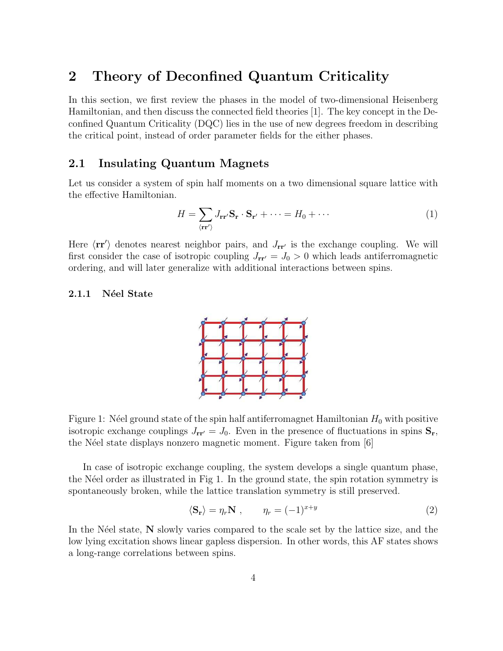# 2 Theory of Deconfined Quantum Criticality

In this section, we first review the phases in the model of two-dimensional Heisenberg Hamiltonian, and then discuss the connected field theories [1]. The key concept in the Deconfined Quantum Criticality (DQC) lies in the use of new degrees freedom in describing the critical point, instead of order parameter fields for the either phases.

### 2.1 Insulating Quantum Magnets

Let us consider a system of spin half moments on a two dimensional square lattice with the effective Hamiltonian.

$$
H = \sum_{\langle \mathbf{r} \mathbf{r}' \rangle} J_{\mathbf{r} \mathbf{r}'} \mathbf{S}_{\mathbf{r}} \cdot \mathbf{S}_{\mathbf{r}'} + \dots = H_0 + \dots \tag{1}
$$

Here  $\langle \mathbf{r} \mathbf{r}' \rangle$  denotes nearest neighbor pairs, and  $J_{\mathbf{r} \mathbf{r}'}$  is the exchange coupling. We will first consider the case of isotropic coupling  $J_{rr'} = J_0 > 0$  which leads antiferromagnetic ordering, and will later generalize with additional interactions between spins.

#### 2.1.1 Néel State



Figure 1: Néel ground state of the spin half antiferromagnet Hamiltonian  $H_0$  with positive isotropic exchange couplings  $J_{rr'} = J_0$ . Even in the presence of fluctuations in spins  $S_r$ , the Néel state displays nonzero magnetic moment. Figure taken from [6]

In case of isotropic exchange coupling, the system develops a single quantum phase, the N'eel order as illustrated in Fig 1. In the ground state, the spin rotation symmetry is spontaneously broken, while the lattice translation symmetry is still preserved.

$$
\langle \mathbf{S}_{\mathbf{r}} \rangle = \eta_r \mathbf{N} \;, \qquad \eta_r = (-1)^{x+y} \tag{2}
$$

In the N $\acute{e}$ el state, N slowly varies compared to the scale set by the lattice size, and the low lying excitation shows linear gapless dispersion. In other words, this AF states shows a long-range correlations between spins.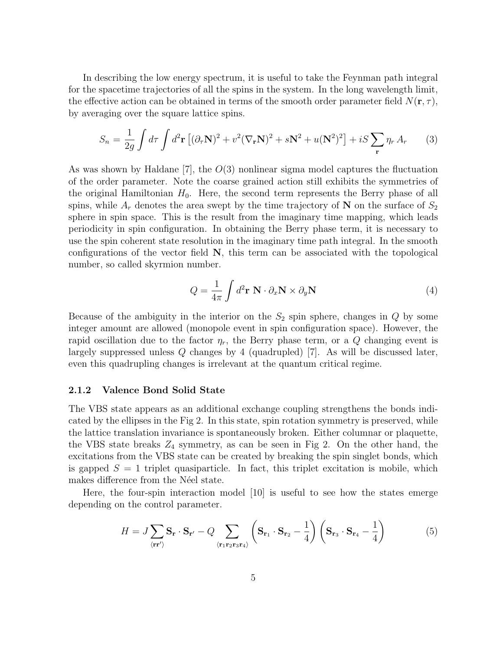In describing the low energy spectrum, it is useful to take the Feynman path integral for the spacetime trajectories of all the spins in the system. In the long wavelength limit, the effective action can be obtained in terms of the smooth order parameter field  $N(\mathbf{r}, \tau)$ , by averaging over the square lattice spins.

$$
S_n = \frac{1}{2g} \int d\tau \int d^2 \mathbf{r} \left[ (\partial_\tau \mathbf{N})^2 + v^2 (\nabla_\mathbf{r} \mathbf{N})^2 + s \mathbf{N}^2 + u(\mathbf{N}^2)^2 \right] + iS \sum_\mathbf{r} \eta_r A_r \tag{3}
$$

As was shown by Haldane [7], the  $O(3)$  nonlinear sigma model captures the fluctuation of the order parameter. Note the coarse grained action still exhibits the symmetries of the original Hamiltonian  $H_0$ . Here, the second term represents the Berry phase of all spins, while  $A_r$  denotes the area swept by the time trajectory of N on the surface of  $S_2$ sphere in spin space. This is the result from the imaginary time mapping, which leads periodicity in spin configuration. In obtaining the Berry phase term, it is necessary to use the spin coherent state resolution in the imaginary time path integral. In the smooth configurations of the vector field  $N$ , this term can be associated with the topological number, so called skyrmion number.

$$
Q = \frac{1}{4\pi} \int d^2 \mathbf{r} \ \mathbf{N} \cdot \partial_x \mathbf{N} \times \partial_y \mathbf{N}
$$
 (4)

Because of the ambiguity in the interior on the  $S_2$  spin sphere, changes in  $Q$  by some integer amount are allowed (monopole event in spin configuration space). However, the rapid oscillation due to the factor  $\eta_r$ , the Berry phase term, or a Q changing event is largely suppressed unless Q changes by 4 (quadrupled) [7]. As will be discussed later, even this quadrupling changes is irrelevant at the quantum critical regime.

#### 2.1.2 Valence Bond Solid State

The VBS state appears as an additional exchange coupling strengthens the bonds indicated by the ellipses in the Fig 2. In this state, spin rotation symmetry is preserved, while the lattice translation invariance is spontaneously broken. Either columnar or plaquette, the VBS state breaks  $Z_4$  symmetry, as can be seen in Fig 2. On the other hand, the excitations from the VBS state can be created by breaking the spin singlet bonds, which is gapped  $S = 1$  triplet quasiparticle. In fact, this triplet excitation is mobile, which makes difference from the Néel state.

Here, the four-spin interaction model [10] is useful to see how the states emerge depending on the control parameter.

$$
H = J \sum_{\langle \mathbf{r} \mathbf{r}' \rangle} \mathbf{S}_{\mathbf{r}} \cdot \mathbf{S}_{\mathbf{r}'} - Q \sum_{\langle \mathbf{r}_1 \mathbf{r}_2 \mathbf{r}_3 \mathbf{r}_4 \rangle} \left( \mathbf{S}_{\mathbf{r}_1} \cdot \mathbf{S}_{\mathbf{r}_2} - \frac{1}{4} \right) \left( \mathbf{S}_{\mathbf{r}_3} \cdot \mathbf{S}_{\mathbf{r}_4} - \frac{1}{4} \right)
$$
(5)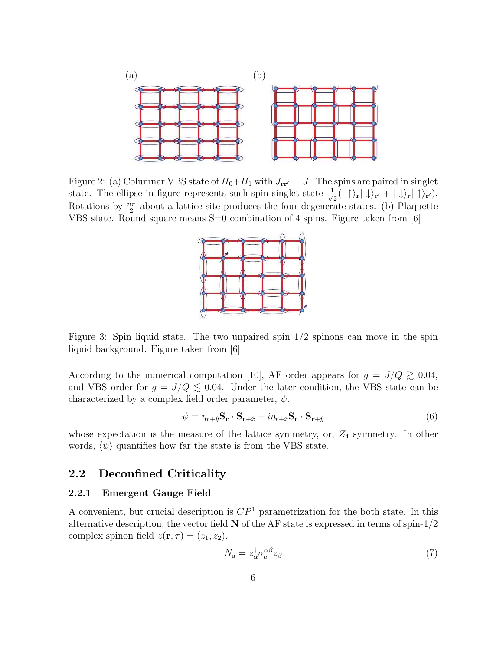

Figure 2: (a) Columnar VBS state of  $H_0 + H_1$  with  $J_{rr'} = J$ . The spins are paired in singlet state. The ellipse in figure represents such spin singlet state  $\frac{1}{\sqrt{2}}$  $\frac{1}{2}(|\uparrow\rangle_{\mathbf{r}}|\downarrow\rangle_{\mathbf{r}'}+|\downarrow\rangle_{\mathbf{r}}|\uparrow\rangle_{\mathbf{r}'}).$ Rotations by  $\frac{n\pi}{2}$  about a lattice site produces the four degenerate states. (b) Plaquette VBS state. Round square means S=0 combination of 4 spins. Figure taken from [6]



Figure 3: Spin liquid state. The two unpaired spin  $1/2$  spinons can move in the spin liquid background. Figure taken from [6]

According to the numerical computation [10], AF order appears for  $g = J/Q \gtrsim 0.04$ , and VBS order for  $g = J/Q \lesssim 0.04$ . Under the later condition, the VBS state can be characterized by a complex field order parameter,  $\psi$ .

$$
\psi = \eta_{r+\hat{y}} \mathbf{S}_r \cdot \mathbf{S}_{r+\hat{x}} + i\eta_{r+\hat{x}} \mathbf{S}_r \cdot \mathbf{S}_{r+\hat{y}} \tag{6}
$$

whose expectation is the measure of the lattice symmetry, or,  $Z_4$  symmetry. In other words,  $\langle \psi \rangle$  quantifies how far the state is from the VBS state.

### 2.2 Deconfined Criticality

#### 2.2.1 Emergent Gauge Field

A convenient, but crucial description is  $\mathbb{CP}^1$  parametrization for the both state. In this alternative description, the vector field  $N$  of the AF state is expressed in terms of spin- $1/2$ complex spinon field  $z(\mathbf{r}, \tau) = (z_1, z_2)$ .

$$
N_a = z_\alpha^\dagger \sigma_a^{\alpha\beta} z_\beta \tag{7}
$$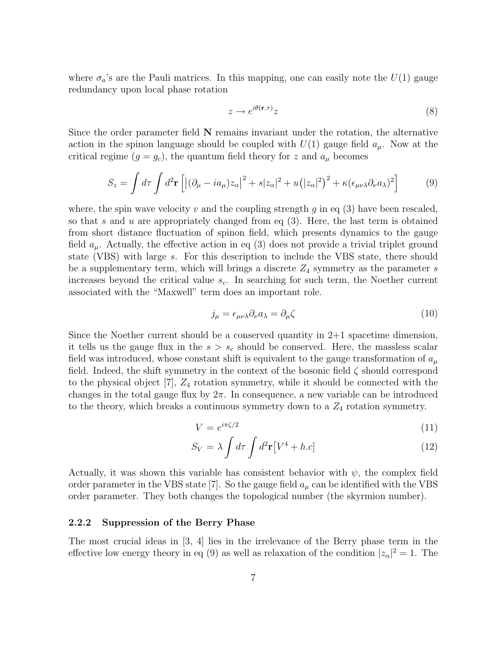where  $\sigma_a$ 's are the Pauli matrices. In this mapping, one can easily note the  $U(1)$  gauge redundancy upon local phase rotation

$$
z \to e^{i\theta(\mathbf{r}, \tau)} z \tag{8}
$$

Since the order parameter field  $N$  remains invariant under the rotation, the alternative action in the spinon language should be coupled with  $U(1)$  gauge field  $a_{\mu}$ . Now at the critical regime  $(g = g_c)$ , the quantum field theory for z and  $a_\mu$  becomes

$$
S_z = \int d\tau \int d^2 \mathbf{r} \left[ \left| (\partial_\mu - ia_\mu) z_\alpha \right|^2 + s |z_\alpha|^2 + u \left( |z_\alpha|^2 \right)^2 + \kappa (\epsilon_{\mu\nu\lambda} \partial_\nu a_\lambda)^2 \right] \tag{9}
$$

where, the spin wave velocity v and the coupling strength  $g$  in eq (3) have been rescaled, so that s and u are appropriately changed from eq  $(3)$ . Here, the last term is obtained from short distance fluctuation of spinon field, which presents dynamics to the gauge field  $a_{\mu}$ . Actually, the effective action in eq (3) does not provide a trivial triplet ground state (VBS) with large s. For this description to include the VBS state, there should be a supplementary term, which will brings a discrete  $Z_4$  symmetry as the parameter s increases beyond the critical value  $s_c$ . In searching for such term, the Noether current associated with the "Maxwell" term does an important role.

$$
j_{\mu} = \epsilon_{\mu\nu\lambda} \partial_{\nu} a_{\lambda} = \partial_{\mu} \zeta \tag{10}
$$

Since the Noether current should be a conserved quantity in 2+1 spacetime dimension, it tells us the gauge flux in the  $s > s_c$  should be conserved. Here, the massless scalar field was introduced, whose constant shift is equivalent to the gauge transformation of  $a_{\mu}$ field. Indeed, the shift symmetry in the context of the bosonic field  $\zeta$  should correspond to the physical object  $[7]$ ,  $Z_4$  rotation symmetry, while it should be connected with the changes in the total gauge flux by  $2\pi$ . In consequence, a new variable can be introduced to the theory, which breaks a continuous symmetry down to a  $Z_4$  rotation symmetry.

$$
V = e^{i\pi\zeta/2} \tag{11}
$$

$$
S_V = \lambda \int d\tau \int d^2 \mathbf{r} \left[ V^4 + h.c \right]
$$
 (12)

Actually, it was shown this variable has consistent behavior with  $\psi$ , the complex field order parameter in the VBS state [7]. So the gauge field  $a_{\mu}$  can be identified with the VBS order parameter. They both changes the topological number (the skyrmion number).

#### 2.2.2 Suppression of the Berry Phase

The most crucial ideas in [3, 4] lies in the irrelevance of the Berry phase term in the effective low energy theory in eq (9) as well as relaxation of the condition  $|z_{\alpha}|^2 = 1$ . The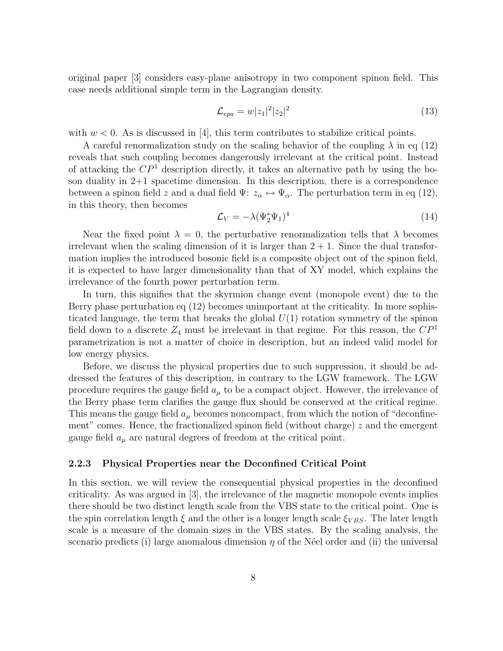original paper [3] considers easy-plane anisotropy in two component spinon field. This case needs additional simple term in the Lagrangian density.

$$
\mathcal{L}_{epa} = w|z_1|^2|z_2|^2 \tag{13}
$$

with  $w < 0$ . As is discussed in [4], this term contributes to stabilize critical points.

A careful renormalization study on the scaling behavior of the coupling  $\lambda$  in eq (12) reveals that such coupling becomes dangerously irrelevant at the critical point. Instead of attacking the  $\mathbb{CP}^1$  description directly, it takes an alternative path by using the boson duality in  $2+1$  spacetime dimension. In this description, there is a correspondence between a spinon field z and a dual field  $\Psi: z_\alpha \leftrightarrow \Psi_\alpha$ . The perturbation term in eq (12), in this theory, then becomes

$$
\mathcal{L}_V = -\lambda (\Psi_2^* \Psi_1)^4 \tag{14}
$$

Near the fixed point  $\lambda = 0$ , the perturbative renormalization tells that  $\lambda$  becomes irrelevant when the scaling dimension of it is larger than  $2 + 1$ . Since the dual transformation implies the introduced bosonic field is a composite object out of the spinon field, it is expected to have larger dimensionality than that of XY model, which explains the irrelevance of the fourth power perturbation term.

In turn, this signifies that the skyrmion change event (monopole event) due to the Berry phase perturbation eq (12) becomes unimportant at the criticality. In more sophisticated language, the term that breaks the global  $U(1)$  rotation symmetry of the spinon field down to a discrete  $Z_4$  must be irrelevant in that regime. For this reason, the  $\mathbb{CP}^1$ parametrization is not a matter of choice in description, but an indeed valid model for low energy physics.

Before, we discuss the physical properties due to such suppression, it should be addressed the features of this description, in contrary to the LGW framework. The LGW procedure requires the gauge field  $a_{\mu}$  to be a compact object. However, the irrelevance of the Berry phase term clarifies the gauge flux should be conserved at the critical regime. This means the gauge field  $a_{\mu}$  becomes noncompact, from which the notion of "deconfinement" comes. Hence, the fractionalized spinon field (without charge)  $z$  and the emergent gauge field  $a_{\mu}$  are natural degrees of freedom at the critical point.

#### 2.2.3 Physical Properties near the Deconfined Critical Point

In this section, we will review the consequential physical properties in the deconfined criticality. As was argued in [3], the irrelevance of the magnetic monopole events implies there should be two distinct length scale from the VBS state to the critical point. One is the spin correlation length  $\xi$  and the other is a longer length scale  $\xi_{VBS}$ . The later length scale is a measure of the domain sizes in the VBS states. By the scaling analysis, the scenario predicts (i) large anomalous dimension  $\eta$  of the N'eel order and (ii) the universal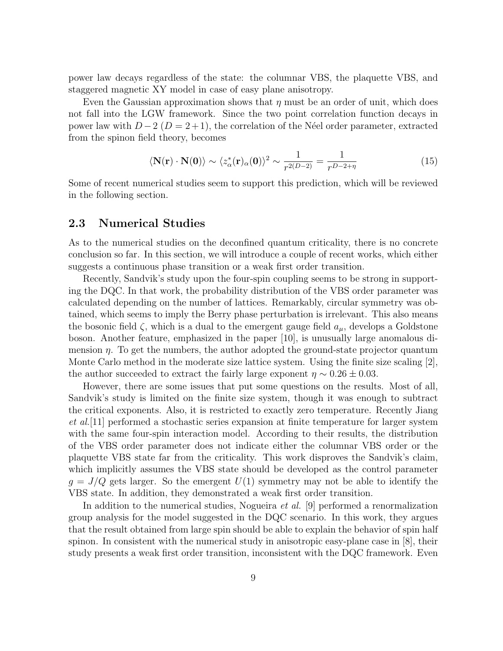power law decays regardless of the state: the columnar VBS, the plaquette VBS, and staggered magnetic XY model in case of easy plane anisotropy.

Even the Gaussian approximation shows that  $\eta$  must be an order of unit, which does not fall into the LGW framework. Since the two point correlation function decays in power law with  $D-2$  ( $D=2+1$ ), the correlation of the Néel order parameter, extracted from the spinon field theory, becomes

$$
\langle \mathbf{N}(\mathbf{r}) \cdot \mathbf{N}(\mathbf{0}) \rangle \sim \langle z_{\alpha}^*(\mathbf{r})_{\alpha}(\mathbf{0}) \rangle^2 \sim \frac{1}{r^{2(D-2)}} = \frac{1}{r^{D-2+\eta}}
$$
(15)

Some of recent numerical studies seem to support this prediction, which will be reviewed in the following section.

### 2.3 Numerical Studies

As to the numerical studies on the deconfined quantum criticality, there is no concrete conclusion so far. In this section, we will introduce a couple of recent works, which either suggests a continuous phase transition or a weak first order transition.

Recently, Sandvik's study upon the four-spin coupling seems to be strong in supporting the DQC. In that work, the probability distribution of the VBS order parameter was calculated depending on the number of lattices. Remarkably, circular symmetry was obtained, which seems to imply the Berry phase perturbation is irrelevant. This also means the bosonic field  $\zeta$ , which is a dual to the emergent gauge field  $a_{\mu}$ , develops a Goldstone boson. Another feature, emphasized in the paper [10], is unusually large anomalous dimension  $\eta$ . To get the numbers, the author adopted the ground-state projector quantum Monte Carlo method in the moderate size lattice system. Using the finite size scaling [2], the author succeeded to extract the fairly large exponent  $\eta \sim 0.26 \pm 0.03$ .

However, there are some issues that put some questions on the results. Most of all, Sandvik's study is limited on the finite size system, though it was enough to subtract the critical exponents. Also, it is restricted to exactly zero temperature. Recently Jiang et al.[11] performed a stochastic series expansion at finite temperature for larger system with the same four-spin interaction model. According to their results, the distribution of the VBS order parameter does not indicate either the columnar VBS order or the plaquette VBS state far from the criticality. This work disproves the Sandvik's claim, which implicitly assumes the VBS state should be developed as the control parameter  $g = J/Q$  gets larger. So the emergent  $U(1)$  symmetry may not be able to identify the VBS state. In addition, they demonstrated a weak first order transition.

In addition to the numerical studies, Nogueira et al. [9] performed a renormalization group analysis for the model suggested in the DQC scenario. In this work, they argues that the result obtained from large spin should be able to explain the behavior of spin half spinon. In consistent with the numerical study in anisotropic easy-plane case in [8], their study presents a weak first order transition, inconsistent with the DQC framework. Even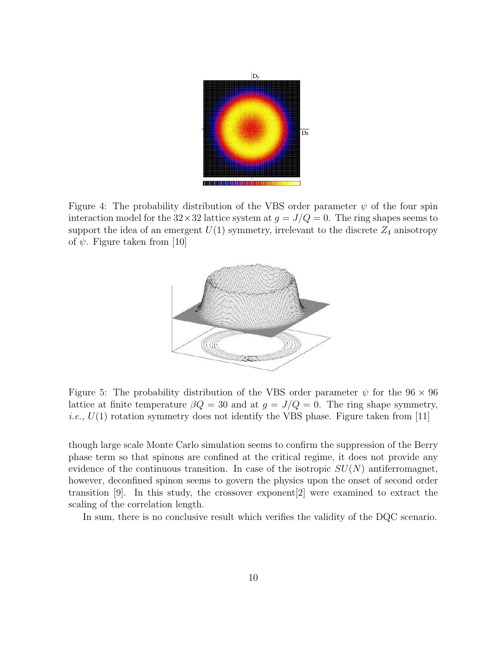

Figure 4: The probability distribution of the VBS order parameter  $\psi$  of the four spin interaction model for the  $32 \times 32$  lattice system at  $g = J/Q = 0$ . The ring shapes seems to support the idea of an emergent  $U(1)$  symmetry, irrelevant to the discrete  $Z_4$  anisotropy of  $\psi$ . Figure taken from [10]



Figure 5: The probability distribution of the VBS order parameter  $\psi$  for the 96  $\times$  96 lattice at finite temperature  $\beta Q = 30$  and at  $g = J/Q = 0$ . The ring shape symmetry, *i.e.*,  $U(1)$  rotation symmetry does not identify the VBS phase. Figure taken from [11]

though large scale Monte Carlo simulation seems to confirm the suppression of the Berry phase term so that spinons are confined at the critical regime, it does not provide any evidence of the continuous transition. In case of the isotropic  $SU(N)$  antiferromagnet, however, deconfined spinon seems to govern the physics upon the onset of second order transition [9]. In this study, the crossover exponent[2] were examined to extract the scaling of the correlation length.

In sum, there is no conclusive result which verifies the validity of the DQC scenario.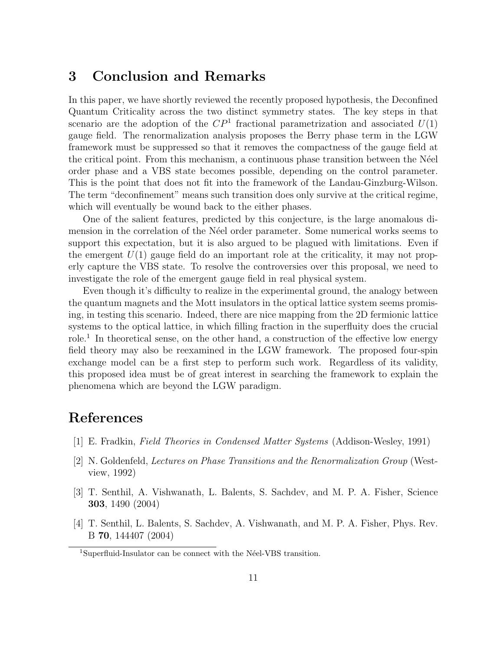# 3 Conclusion and Remarks

In this paper, we have shortly reviewed the recently proposed hypothesis, the Deconfined Quantum Criticality across the two distinct symmetry states. The key steps in that scenario are the adoption of the  $\mathbb{CP}^1$  fractional parametrization and associated  $U(1)$ gauge field. The renormalization analysis proposes the Berry phase term in the LGW framework must be suppressed so that it removes the compactness of the gauge field at the critical point. From this mechanism, a continuous phase transition between the N´eel order phase and a VBS state becomes possible, depending on the control parameter. This is the point that does not fit into the framework of the Landau-Ginzburg-Wilson. The term "deconfinement" means such transition does only survive at the critical regime, which will eventually be wound back to the either phases.

One of the salient features, predicted by this conjecture, is the large anomalous dimension in the correlation of the N'eel order parameter. Some numerical works seems to support this expectation, but it is also argued to be plagued with limitations. Even if the emergent  $U(1)$  gauge field do an important role at the criticality, it may not properly capture the VBS state. To resolve the controversies over this proposal, we need to investigate the role of the emergent gauge field in real physical system.

Even though it's difficulty to realize in the experimental ground, the analogy between the quantum magnets and the Mott insulators in the optical lattice system seems promising, in testing this scenario. Indeed, there are nice mapping from the 2D fermionic lattice systems to the optical lattice, in which filling fraction in the superfluity does the crucial role.<sup>1</sup> In theoretical sense, on the other hand, a construction of the effective low energy field theory may also be reexamined in the LGW framework. The proposed four-spin exchange model can be a first step to perform such work. Regardless of its validity, this proposed idea must be of great interest in searching the framework to explain the phenomena which are beyond the LGW paradigm.

# References

- [1] E. Fradkin, Field Theories in Condensed Matter Systems (Addison-Wesley, 1991)
- [2] N. Goldenfeld, Lectures on Phase Transitions and the Renormalization Group (Westview, 1992)
- [3] T. Senthil, A. Vishwanath, L. Balents, S. Sachdev, and M. P. A. Fisher, Science 303, 1490 (2004)
- [4] T. Senthil, L. Balents, S. Sachdev, A. Vishwanath, and M. P. A. Fisher, Phys. Rev. B 70, 144407 (2004)

<sup>&</sup>lt;sup>1</sup>Superfluid-Insulator can be connect with the Néel-VBS transition.